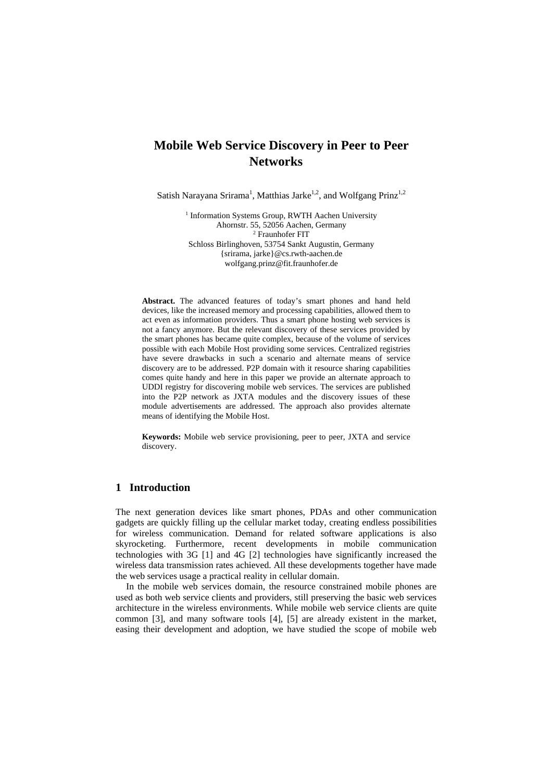# **Mobile Web Service Discovery in Peer to Peer Networks**

Satish Narayana Srirama<sup>1</sup>, Matthias Jarke<sup>1,2</sup>, and Wolfgang Prinz<sup>1,2</sup>

<sup>1</sup> Information Systems Group, RWTH Aachen University Ahornstr. 55, 52056 Aachen, Germany 2 <sup>2</sup> Fraunhofer FIT Schloss Birlinghoven, 53754 Sankt Augustin, Germany {srirama, jarke}@cs.rwth-aachen.de wolfgang.prinz@fit.fraunhofer.de

**Abstract.** The advanced features of today's smart phones and hand held devices, like the increased memory and processing capabilities, allowed them to act even as information providers. Thus a smart phone hosting web services is not a fancy anymore. But the relevant discovery of these services provided by the smart phones has became quite complex, because of the volume of services possible with each Mobile Host providing some services. Centralized registries have severe drawbacks in such a scenario and alternate means of service discovery are to be addressed. P2P domain with it resource sharing capabilities comes quite handy and here in this paper we provide an alternate approach to UDDI registry for discovering mobile web services. The services are published into the P2P network as JXTA modules and the discovery issues of these module advertisements are addressed. The approach also provides alternate means of identifying the Mobile Host.

**Keywords:** Mobile web service provisioning, peer to peer, JXTA and service discovery.

## **1 Introduction**

The next generation devices like smart phones, PDAs and other communication gadgets are quickly filling up the cellular market today, creating endless possibilities for wireless communication. Demand for related software applications is also skyrocketing. Furthermore, recent developments in mobile communication technologies with 3G [1] and 4G [2] technologies have significantly increased the wireless data transmission rates achieved. All these developments together have made the web services usage a practical reality in cellular domain.

In the mobile web services domain, the resource constrained mobile phones are used as both web service clients and providers, still preserving the basic web services architecture in the wireless environments. While mobile web service clients are quite common [3], and many software tools [4], [5] are already existent in the market, easing their development and adoption, we have studied the scope of mobile web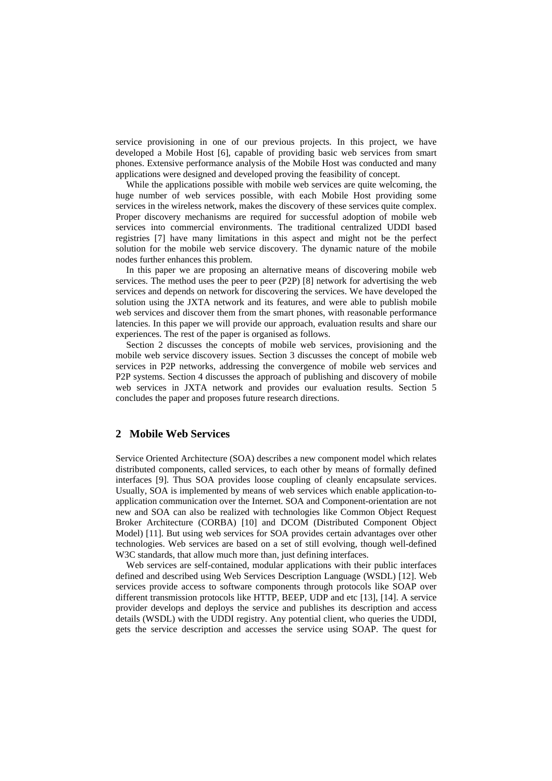service provisioning in one of our previous projects. In this project, we have developed a Mobile Host [6], capable of providing basic web services from smart phones. Extensive performance analysis of the Mobile Host was conducted and many applications were designed and developed proving the feasibility of concept.

While the applications possible with mobile web services are quite welcoming, the huge number of web services possible, with each Mobile Host providing some services in the wireless network, makes the discovery of these services quite complex. Proper discovery mechanisms are required for successful adoption of mobile web services into commercial environments. The traditional centralized UDDI based registries [7] have many limitations in this aspect and might not be the perfect solution for the mobile web service discovery. The dynamic nature of the mobile nodes further enhances this problem.

In this paper we are proposing an alternative means of discovering mobile web services. The method uses the peer to peer (P2P) [8] network for advertising the web services and depends on network for discovering the services. We have developed the solution using the JXTA network and its features, and were able to publish mobile web services and discover them from the smart phones, with reasonable performance latencies. In this paper we will provide our approach, evaluation results and share our experiences. The rest of the paper is organised as follows.

Section 2 discusses the concepts of mobile web services, provisioning and the mobile web service discovery issues. Section 3 discusses the concept of mobile web services in P2P networks, addressing the convergence of mobile web services and P2P systems. Section 4 discusses the approach of publishing and discovery of mobile web services in JXTA network and provides our evaluation results. Section 5 concludes the paper and proposes future research directions.

#### **2 Mobile Web Services**

Service Oriented Architecture (SOA) describes a new component model which relates distributed components, called services, to each other by means of formally defined interfaces [9]. Thus SOA provides loose coupling of cleanly encapsulate services. Usually, SOA is implemented by means of web services which enable application-toapplication communication over the Internet. SOA and Component-orientation are not new and SOA can also be realized with technologies like Common Object Request Broker Architecture (CORBA) [10] and DCOM (Distributed Component Object Model) [11]. But using web services for SOA provides certain advantages over other technologies. Web services are based on a set of still evolving, though well-defined W3C standards, that allow much more than, just defining interfaces.

Web services are self-contained, modular applications with their public interfaces defined and described using Web Services Description Language (WSDL) [12]. Web services provide access to software components through protocols like SOAP over different transmission protocols like HTTP, BEEP, UDP and etc [13], [14]. A service provider develops and deploys the service and publishes its description and access details (WSDL) with the UDDI registry. Any potential client, who queries the UDDI, gets the service description and accesses the service using SOAP. The quest for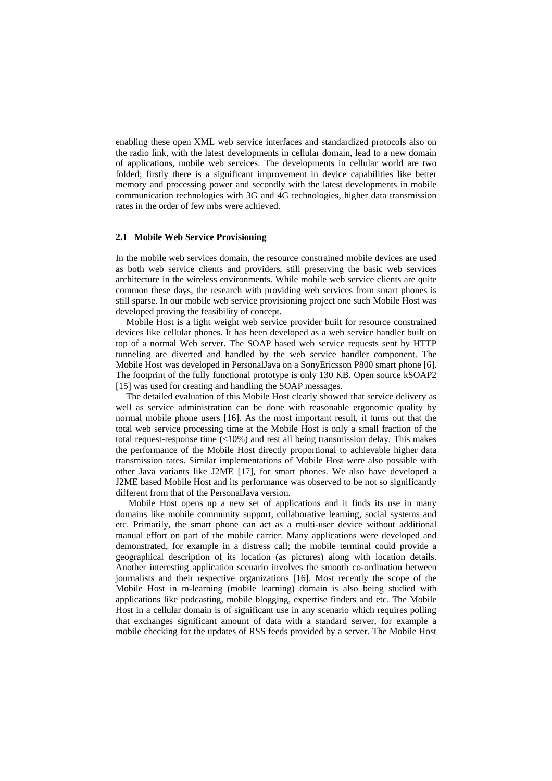enabling these open XML web service interfaces and standardized protocols also on the radio link, with the latest developments in cellular domain, lead to a new domain of applications, mobile web services. The developments in cellular world are two folded; firstly there is a significant improvement in device capabilities like better memory and processing power and secondly with the latest developments in mobile communication technologies with 3G and 4G technologies, higher data transmission rates in the order of few mbs were achieved.

### **2.1 Mobile Web Service Provisioning**

In the mobile web services domain, the resource constrained mobile devices are used as both web service clients and providers, still preserving the basic web services architecture in the wireless environments. While mobile web service clients are quite common these days, the research with providing web services from smart phones is still sparse. In our mobile web service provisioning project one such Mobile Host was developed proving the feasibility of concept.

Mobile Host is a light weight web service provider built for resource constrained devices like cellular phones. It has been developed as a web service handler built on top of a normal Web server. The SOAP based web service requests sent by HTTP tunneling are diverted and handled by the web service handler component. The Mobile Host was developed in PersonalJava on a SonyEricsson P800 smart phone [6]. The footprint of the fully functional prototype is only 130 KB. Open source kSOAP2 [15] was used for creating and handling the SOAP messages.

The detailed evaluation of this Mobile Host clearly showed that service delivery as well as service administration can be done with reasonable ergonomic quality by normal mobile phone users [16]. As the most important result, it turns out that the total web service processing time at the Mobile Host is only a small fraction of the total request-response time (<10%) and rest all being transmission delay. This makes the performance of the Mobile Host directly proportional to achievable higher data transmission rates. Similar implementations of Mobile Host were also possible with other Java variants like J2ME [17], for smart phones. We also have developed a J2ME based Mobile Host and its performance was observed to be not so significantly different from that of the PersonalJava version.

 Mobile Host opens up a new set of applications and it finds its use in many domains like mobile community support, collaborative learning, social systems and etc. Primarily, the smart phone can act as a multi-user device without additional manual effort on part of the mobile carrier. Many applications were developed and demonstrated, for example in a distress call; the mobile terminal could provide a geographical description of its location (as pictures) along with location details. Another interesting application scenario involves the smooth co-ordination between journalists and their respective organizations [16]. Most recently the scope of the Mobile Host in m-learning (mobile learning) domain is also being studied with applications like podcasting, mobile blogging, expertise finders and etc. The Mobile Host in a cellular domain is of significant use in any scenario which requires polling that exchanges significant amount of data with a standard server, for example a mobile checking for the updates of RSS feeds provided by a server. The Mobile Host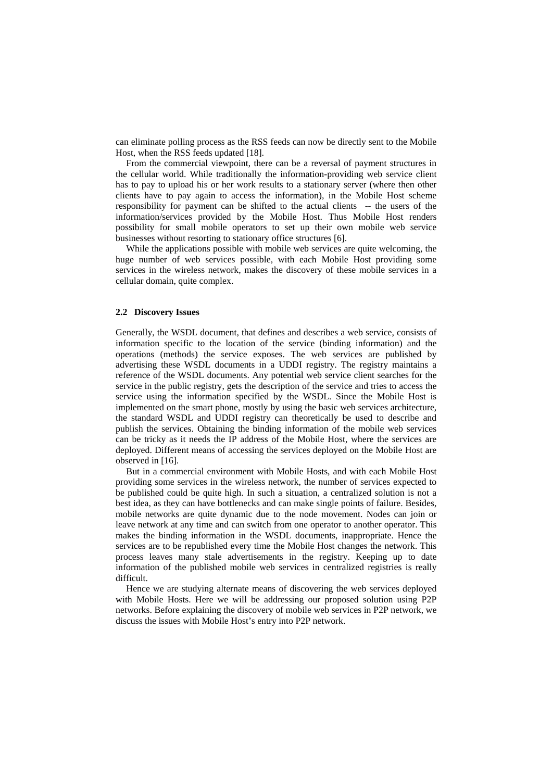can eliminate polling process as the RSS feeds can now be directly sent to the Mobile Host, when the RSS feeds updated [18].

From the commercial viewpoint, there can be a reversal of payment structures in the cellular world. While traditionally the information-providing web service client has to pay to upload his or her work results to a stationary server (where then other clients have to pay again to access the information), in the Mobile Host scheme responsibility for payment can be shifted to the actual clients -- the users of the information/services provided by the Mobile Host. Thus Mobile Host renders possibility for small mobile operators to set up their own mobile web service businesses without resorting to stationary office structures [6].

While the applications possible with mobile web services are quite welcoming, the huge number of web services possible, with each Mobile Host providing some services in the wireless network, makes the discovery of these mobile services in a cellular domain, quite complex.

#### **2.2 Discovery Issues**

Generally, the WSDL document, that defines and describes a web service, consists of information specific to the location of the service (binding information) and the operations (methods) the service exposes. The web services are published by advertising these WSDL documents in a UDDI registry. The registry maintains a reference of the WSDL documents. Any potential web service client searches for the service in the public registry, gets the description of the service and tries to access the service using the information specified by the WSDL. Since the Mobile Host is implemented on the smart phone, mostly by using the basic web services architecture, the standard WSDL and UDDI registry can theoretically be used to describe and publish the services. Obtaining the binding information of the mobile web services can be tricky as it needs the IP address of the Mobile Host, where the services are deployed. Different means of accessing the services deployed on the Mobile Host are observed in [16].

But in a commercial environment with Mobile Hosts, and with each Mobile Host providing some services in the wireless network, the number of services expected to be published could be quite high. In such a situation, a centralized solution is not a best idea, as they can have bottlenecks and can make single points of failure. Besides, mobile networks are quite dynamic due to the node movement. Nodes can join or leave network at any time and can switch from one operator to another operator. This makes the binding information in the WSDL documents, inappropriate. Hence the services are to be republished every time the Mobile Host changes the network. This process leaves many stale advertisements in the registry. Keeping up to date information of the published mobile web services in centralized registries is really difficult.

Hence we are studying alternate means of discovering the web services deployed with Mobile Hosts. Here we will be addressing our proposed solution using P2P networks. Before explaining the discovery of mobile web services in P2P network, we discuss the issues with Mobile Host's entry into P2P network.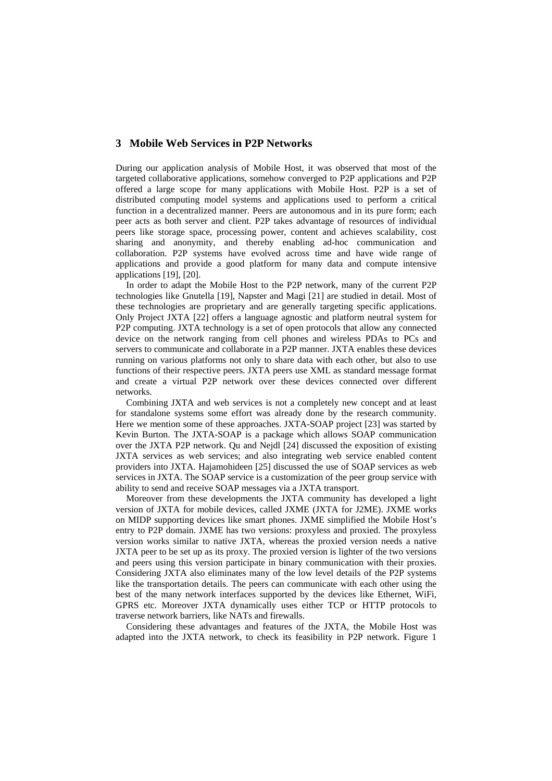### **3 Mobile Web Services in P2P Networks**

During our application analysis of Mobile Host, it was observed that most of the targeted collaborative applications, somehow converged to P2P applications and P2P offered a large scope for many applications with Mobile Host. P2P is a set of distributed computing model systems and applications used to perform a critical function in a decentralized manner. Peers are autonomous and in its pure form; each peer acts as both server and client. P2P takes advantage of resources of individual peers like storage space, processing power, content and achieves scalability, cost sharing and anonymity, and thereby enabling ad-hoc communication and collaboration. P2P systems have evolved across time and have wide range of applications and provide a good platform for many data and compute intensive applications [19], [20].

In order to adapt the Mobile Host to the P2P network, many of the current P2P technologies like Gnutella [19], Napster and Magi [21] are studied in detail. Most of these technologies are proprietary and are generally targeting specific applications. Only Project JXTA [22] offers a language agnostic and platform neutral system for P2P computing. JXTA technology is a set of open protocols that allow any connected device on the network ranging from cell phones and wireless PDAs to PCs and servers to communicate and collaborate in a P2P manner. JXTA enables these devices running on various platforms not only to share data with each other, but also to use functions of their respective peers. JXTA peers use XML as standard message format and create a virtual P2P network over these devices connected over different networks.

Combining JXTA and web services is not a completely new concept and at least for standalone systems some effort was already done by the research community. Here we mention some of these approaches. JXTA-SOAP project [23] was started by Kevin Burton. The JXTA-SOAP is a package which allows SOAP communication over the JXTA P2P network. Qu and Nejdl [24] discussed the exposition of existing JXTA services as web services; and also integrating web service enabled content providers into JXTA. Hajamohideen [25] discussed the use of SOAP services as web services in JXTA. The SOAP service is a customization of the peer group service with ability to send and receive SOAP messages via a JXTA transport.

Moreover from these developments the JXTA community has developed a light version of JXTA for mobile devices, called JXME (JXTA for J2ME). JXME works on MIDP supporting devices like smart phones. JXME simplified the Mobile Host's entry to P2P domain. JXME has two versions: proxyless and proxied. The proxyless version works similar to native JXTA, whereas the proxied version needs a native JXTA peer to be set up as its proxy. The proxied version is lighter of the two versions and peers using this version participate in binary communication with their proxies. Considering JXTA also eliminates many of the low level details of the P2P systems like the transportation details. The peers can communicate with each other using the best of the many network interfaces supported by the devices like Ethernet, WiFi, GPRS etc. Moreover JXTA dynamically uses either TCP or HTTP protocols to traverse network barriers, like NATs and firewalls.

Considering these advantages and features of the JXTA, the Mobile Host was adapted into the JXTA network, to check its feasibility in P2P network. Figure 1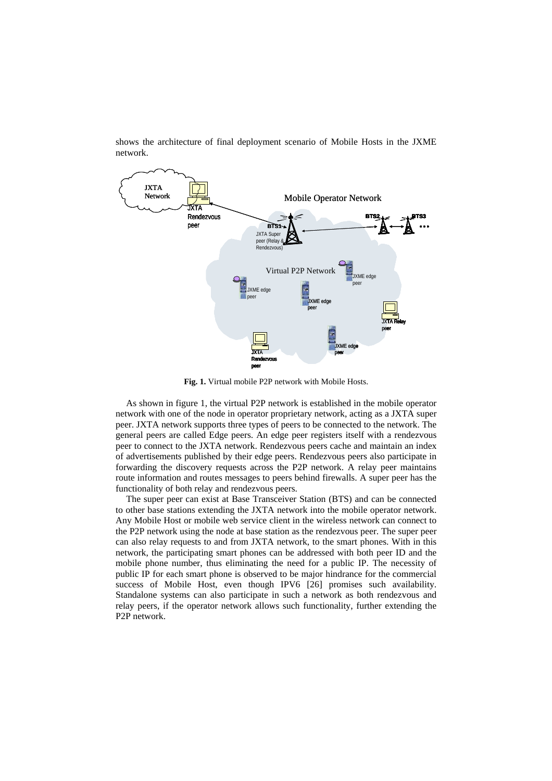

shows the architecture of final deployment scenario of Mobile Hosts in the JXME network.

**Fig. 1.** Virtual mobile P2P network with Mobile Hosts.

As shown in figure 1, the virtual P2P network is established in the mobile operator network with one of the node in operator proprietary network, acting as a JXTA super peer. JXTA network supports three types of peers to be connected to the network. The general peers are called Edge peers. An edge peer registers itself with a rendezvous peer to connect to the JXTA network. Rendezvous peers cache and maintain an index of advertisements published by their edge peers. Rendezvous peers also participate in forwarding the discovery requests across the P2P network. A relay peer maintains route information and routes messages to peers behind firewalls. A super peer has the functionality of both relay and rendezvous peers.

The super peer can exist at Base Transceiver Station (BTS) and can be connected to other base stations extending the JXTA network into the mobile operator network. Any Mobile Host or mobile web service client in the wireless network can connect to the P2P network using the node at base station as the rendezvous peer. The super peer can also relay requests to and from JXTA network, to the smart phones. With in this network, the participating smart phones can be addressed with both peer ID and the mobile phone number, thus eliminating the need for a public IP. The necessity of public IP for each smart phone is observed to be major hindrance for the commercial success of Mobile Host, even though IPV6 [26] promises such availability. Standalone systems can also participate in such a network as both rendezvous and relay peers, if the operator network allows such functionality, further extending the P2P network.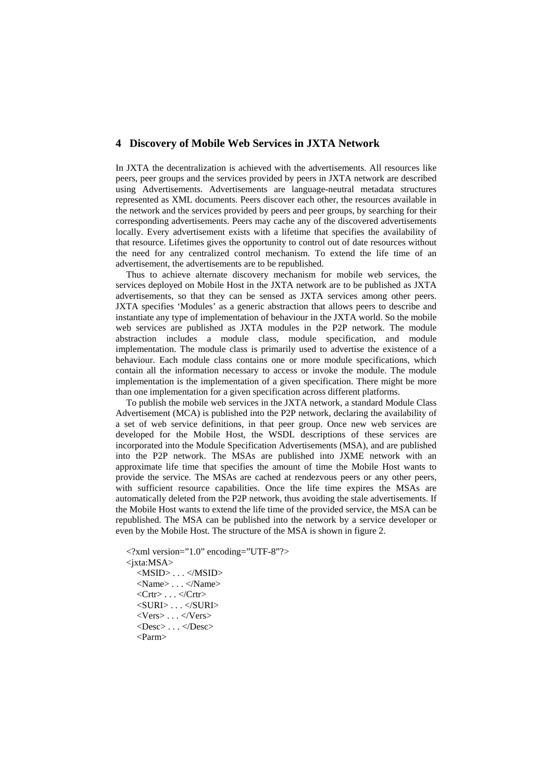## **4 Discovery of Mobile Web Services in JXTA Network**

In JXTA the decentralization is achieved with the advertisements. All resources like peers, peer groups and the services provided by peers in JXTA network are described using Advertisements. Advertisements are language-neutral metadata structures represented as XML documents. Peers discover each other, the resources available in the network and the services provided by peers and peer groups, by searching for their corresponding advertisements. Peers may cache any of the discovered advertisements locally. Every advertisement exists with a lifetime that specifies the availability of that resource. Lifetimes gives the opportunity to control out of date resources without the need for any centralized control mechanism. To extend the life time of an advertisement, the advertisements are to be republished.

Thus to achieve alternate discovery mechanism for mobile web services, the services deployed on Mobile Host in the JXTA network are to be published as JXTA advertisements, so that they can be sensed as JXTA services among other peers. JXTA specifies 'Modules' as a generic abstraction that allows peers to describe and instantiate any type of implementation of behaviour in the JXTA world. So the mobile web services are published as JXTA modules in the P2P network. The module abstraction includes a module class, module specification, and module implementation. The module class is primarily used to advertise the existence of a behaviour. Each module class contains one or more module specifications, which contain all the information necessary to access or invoke the module. The module implementation is the implementation of a given specification. There might be more than one implementation for a given specification across different platforms.

To publish the mobile web services in the JXTA network, a standard Module Class Advertisement (MCA) is published into the P2P network, declaring the availability of a set of web service definitions, in that peer group. Once new web services are developed for the Mobile Host, the WSDL descriptions of these services are incorporated into the Module Specification Advertisements (MSA), and are published into the P2P network. The MSAs are published into JXME network with an approximate life time that specifies the amount of time the Mobile Host wants to provide the service. The MSAs are cached at rendezvous peers or any other peers, with sufficient resource capabilities. Once the life time expires the MSAs are automatically deleted from the P2P network, thus avoiding the stale advertisements. If the Mobile Host wants to extend the life time of the provided service, the MSA can be republished. The MSA can be published into the network by a service developer or even by the Mobile Host. The structure of the MSA is shown in figure 2.

```
<?xml version="1.0" encoding="UTF-8"?> 
<jxta:MSA> 
  <MSID> . . . </MSID> 
  <Name> . . . </Name> 
  \langleCrtr> \ldots \langleCrtr><SURI>...</SURI><Vers> . . . </Vers> 
  <Desc> . . . </Desc> 
  \epsilonParm\sim
```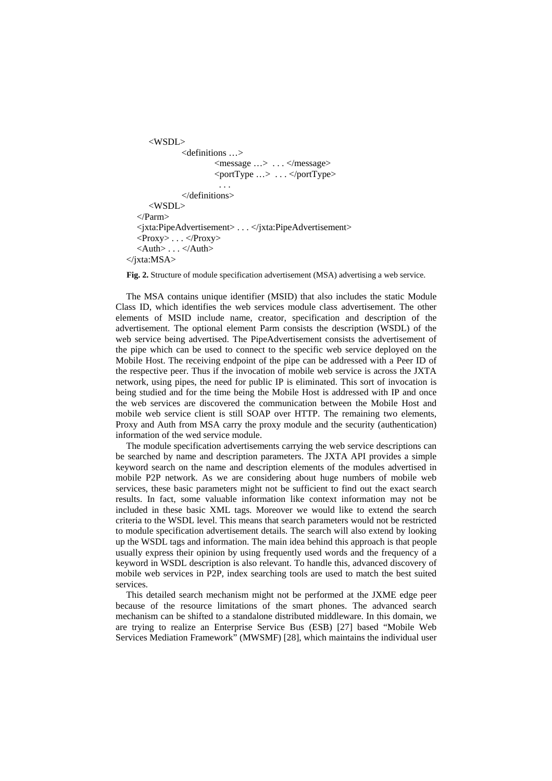```
 <WSDL> 
               <definitions …> 
                       <message …> . . . </message> 
                       <portType …> . . . </portType> 
   . . . 
              </definitions> 
      <WSDL> 
  </Parm> 
  <jxta:PipeAdvertisement> . . . </jxta:PipeAdvertisement> 
  \langleProxy> . . . \langleProxy>
  <Auth> . . . </Auth> 
</jxta:MSA>
```
**Fig. 2.** Structure of module specification advertisement (MSA) advertising a web service.

The MSA contains unique identifier (MSID) that also includes the static Module Class ID, which identifies the web services module class advertisement. The other elements of MSID include name, creator, specification and description of the advertisement. The optional element Parm consists the description (WSDL) of the web service being advertised. The PipeAdvertisement consists the advertisement of the pipe which can be used to connect to the specific web service deployed on the Mobile Host. The receiving endpoint of the pipe can be addressed with a Peer ID of the respective peer. Thus if the invocation of mobile web service is across the JXTA network, using pipes, the need for public IP is eliminated. This sort of invocation is being studied and for the time being the Mobile Host is addressed with IP and once the web services are discovered the communication between the Mobile Host and mobile web service client is still SOAP over HTTP. The remaining two elements, Proxy and Auth from MSA carry the proxy module and the security (authentication) information of the wed service module.

The module specification advertisements carrying the web service descriptions can be searched by name and description parameters. The JXTA API provides a simple keyword search on the name and description elements of the modules advertised in mobile P2P network. As we are considering about huge numbers of mobile web services, these basic parameters might not be sufficient to find out the exact search results. In fact, some valuable information like context information may not be included in these basic XML tags. Moreover we would like to extend the search criteria to the WSDL level. This means that search parameters would not be restricted to module specification advertisement details. The search will also extend by looking up the WSDL tags and information. The main idea behind this approach is that people usually express their opinion by using frequently used words and the frequency of a keyword in WSDL description is also relevant. To handle this, advanced discovery of mobile web services in P2P, index searching tools are used to match the best suited services.

This detailed search mechanism might not be performed at the JXME edge peer because of the resource limitations of the smart phones. The advanced search mechanism can be shifted to a standalone distributed middleware. In this domain, we are trying to realize an Enterprise Service Bus (ESB) [27] based "Mobile Web Services Mediation Framework" (MWSMF) [28], which maintains the individual user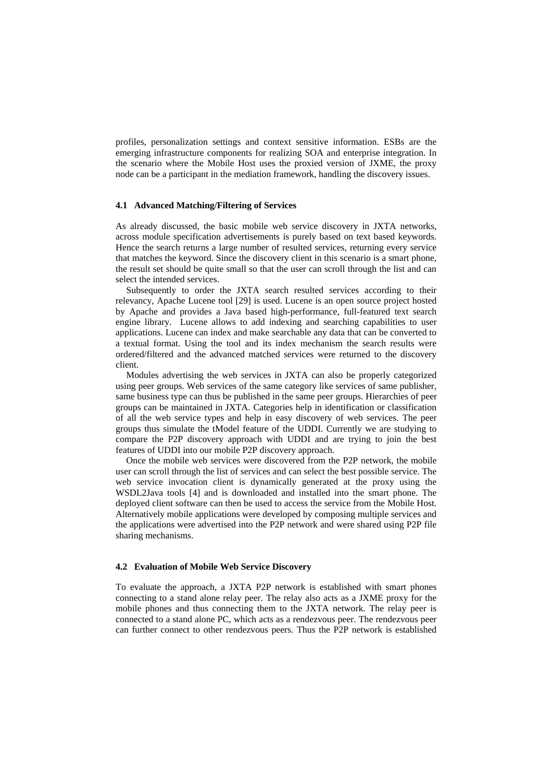profiles, personalization settings and context sensitive information. ESBs are the emerging infrastructure components for realizing SOA and enterprise integration. In the scenario where the Mobile Host uses the proxied version of JXME, the proxy node can be a participant in the mediation framework, handling the discovery issues.

#### **4.1 Advanced Matching/Filtering of Services**

As already discussed, the basic mobile web service discovery in JXTA networks, across module specification advertisements is purely based on text based keywords. Hence the search returns a large number of resulted services, returning every service that matches the keyword. Since the discovery client in this scenario is a smart phone, the result set should be quite small so that the user can scroll through the list and can select the intended services.

Subsequently to order the JXTA search resulted services according to their relevancy, Apache Lucene tool [29] is used. Lucene is an open source project hosted by Apache and provides a Java based high-performance, full-featured text search engine library. Lucene allows to add indexing and searching capabilities to user applications. Lucene can index and make searchable any data that can be converted to a textual format. Using the tool and its index mechanism the search results were ordered/filtered and the advanced matched services were returned to the discovery client.

Modules advertising the web services in JXTA can also be properly categorized using peer groups. Web services of the same category like services of same publisher, same business type can thus be published in the same peer groups. Hierarchies of peer groups can be maintained in JXTA. Categories help in identification or classification of all the web service types and help in easy discovery of web services. The peer groups thus simulate the tModel feature of the UDDI. Currently we are studying to compare the P2P discovery approach with UDDI and are trying to join the best features of UDDI into our mobile P2P discovery approach.

Once the mobile web services were discovered from the P2P network, the mobile user can scroll through the list of services and can select the best possible service. The web service invocation client is dynamically generated at the proxy using the WSDL2Java tools [4] and is downloaded and installed into the smart phone. The deployed client software can then be used to access the service from the Mobile Host. Alternatively mobile applications were developed by composing multiple services and the applications were advertised into the P2P network and were shared using P2P file sharing mechanisms.

#### **4.2 Evaluation of Mobile Web Service Discovery**

To evaluate the approach, a JXTA P2P network is established with smart phones connecting to a stand alone relay peer. The relay also acts as a JXME proxy for the mobile phones and thus connecting them to the JXTA network. The relay peer is connected to a stand alone PC, which acts as a rendezvous peer. The rendezvous peer can further connect to other rendezvous peers. Thus the P2P network is established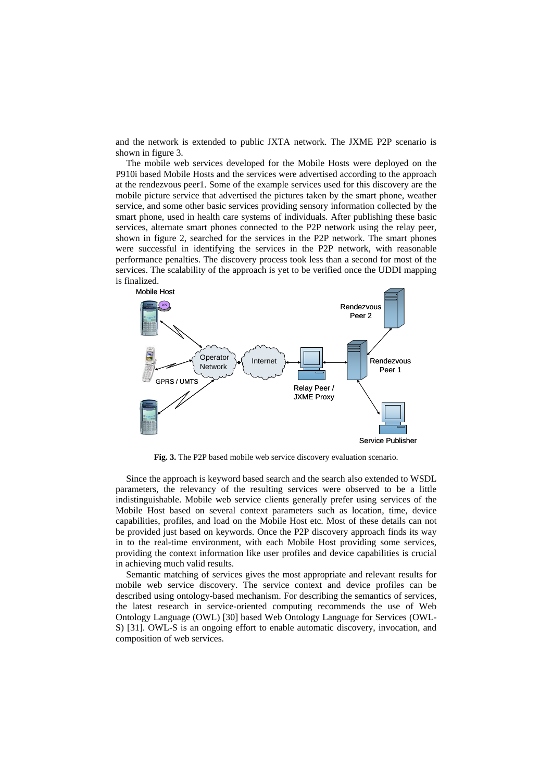and the network is extended to public JXTA network. The JXME P2P scenario is shown in figure 3.

The mobile web services developed for the Mobile Hosts were deployed on the P910i based Mobile Hosts and the services were advertised according to the approach at the rendezvous peer1. Some of the example services used for this discovery are the mobile picture service that advertised the pictures taken by the smart phone, weather service, and some other basic services providing sensory information collected by the smart phone, used in health care systems of individuals. After publishing these basic services, alternate smart phones connected to the P2P network using the relay peer, shown in figure 2, searched for the services in the P2P network. The smart phones were successful in identifying the services in the P2P network, with reasonable performance penalties. The discovery process took less than a second for most of the services. The scalability of the approach is yet to be verified once the UDDI mapping is finalized.



**Fig. 3.** The P2P based mobile web service discovery evaluation scenario.

Since the approach is keyword based search and the search also extended to WSDL parameters, the relevancy of the resulting services were observed to be a little indistinguishable. Mobile web service clients generally prefer using services of the Mobile Host based on several context parameters such as location, time, device capabilities, profiles, and load on the Mobile Host etc. Most of these details can not be provided just based on keywords. Once the P2P discovery approach finds its way in to the real-time environment, with each Mobile Host providing some services, providing the context information like user profiles and device capabilities is crucial in achieving much valid results.

Semantic matching of services gives the most appropriate and relevant results for mobile web service discovery. The service context and device profiles can be described using ontology-based mechanism. For describing the semantics of services, the latest research in service-oriented computing recommends the use of Web Ontology Language (OWL) [30] based Web Ontology Language for Services (OWL-S) [31]. OWL-S is an ongoing effort to enable automatic discovery, invocation, and composition of web services.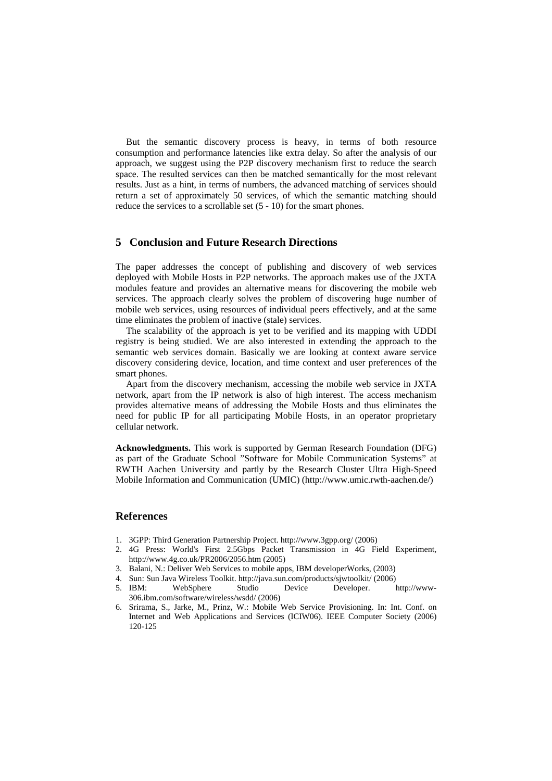But the semantic discovery process is heavy, in terms of both resource consumption and performance latencies like extra delay. So after the analysis of our approach, we suggest using the P2P discovery mechanism first to reduce the search space. The resulted services can then be matched semantically for the most relevant results. Just as a hint, in terms of numbers, the advanced matching of services should return a set of approximately 50 services, of which the semantic matching should reduce the services to a scrollable set (5 - 10) for the smart phones.

## **5 Conclusion and Future Research Directions**

The paper addresses the concept of publishing and discovery of web services deployed with Mobile Hosts in P2P networks. The approach makes use of the JXTA modules feature and provides an alternative means for discovering the mobile web services. The approach clearly solves the problem of discovering huge number of mobile web services, using resources of individual peers effectively, and at the same time eliminates the problem of inactive (stale) services.

The scalability of the approach is yet to be verified and its mapping with UDDI registry is being studied. We are also interested in extending the approach to the semantic web services domain. Basically we are looking at context aware service discovery considering device, location, and time context and user preferences of the smart phones.

Apart from the discovery mechanism, accessing the mobile web service in JXTA network, apart from the IP network is also of high interest. The access mechanism provides alternative means of addressing the Mobile Hosts and thus eliminates the need for public IP for all participating Mobile Hosts, in an operator proprietary cellular network.

**Acknowledgments.** This work is supported by German Research Foundation (DFG) as part of the Graduate School "Software for Mobile Communication Systems" at RWTH Aachen University and partly by the Research Cluster Ultra High-Speed Mobile Information and Communication (UMIC) (http://www.umic.rwth-aachen.de/)

#### **References**

- 1. 3GPP: Third Generation Partnership Project. http://www.3gpp.org/ (2006)
- 2. 4G Press: World's First 2.5Gbps Packet Transmission in 4G Field Experiment, http://www.4g.co.uk/PR2006/2056.htm (2005)
- 3. Balani, N.: Deliver Web Services to mobile apps, IBM developerWorks, (2003)
- 4. Sun: Sun Java Wireless Toolkit. http://java.sun.com/products/sjwtoolkit/ (2006)
- 5. IBM: WebSphere Studio Device Developer. http://www-306.ibm.com/software/wireless/wsdd/ (2006)
- 6. Srirama, S., Jarke, M., Prinz, W.: Mobile Web Service Provisioning. In: Int. Conf. on Internet and Web Applications and Services (ICIW06). IEEE Computer Society (2006) 120-125